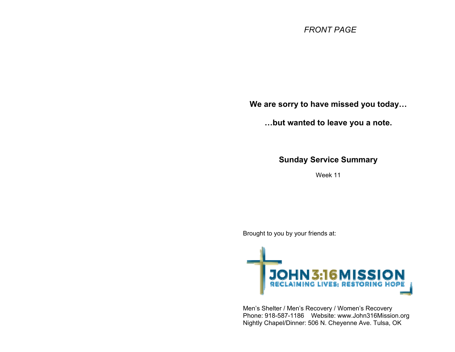## *FRONT PAGE*

**We are sorry to have missed you today…** 

**…but wanted to leave you a note.** 

**Sunday Service Summary** 

Week 11

Brought to you by your friends at:



Men's Shelter / Men's Recovery / Women's Recovery Phone: 918-587-1186 Website: www.John316Mission.org Nightly Chapel/Dinner: 506 N. Cheyenne Ave. Tulsa, OK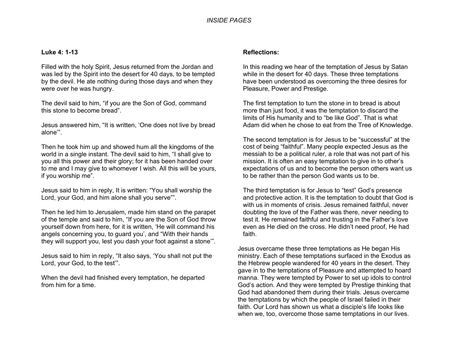## **Luke 4: 1-13**

Filled with the holy Spirit, Jesus returned from the Jordan and was led by the Spirit into the desert for 40 days, to be tempted by the devil. He ate nothing during those days and when they were over he was hungry.

The devil said to him, "if you are the Son of God, command this stone to become bread".

Jesus answered him, "It is written, 'One does not live by bread alone'".

Then he took him up and showed hum all the kingdoms of the world in a single instant. The devil said to him, "I shall give to you all this power and their glory; for it has been handed over to me and I may give to whomever I wish. All this will be yours, if you worship me".

Jesus said to him in reply, It is written: "You shall worship the Lord, your God, and him alone shall you serve"".

Then he led him to Jerusalem, made him stand on the parapet of the temple and said to him, "If you are the Son of God throw yourself down from here, for it is written, 'He will command his angels concerning you, to guard you', and "With their hands they will support you, lest you dash your foot against a stone'".

Jesus said to him in reply, "It also says, 'You shall not put the Lord, your God, to the test'".

When the devil had finished every temptation, he departed from him for a time.

## **Reflections:**

In this reading we hear of the temptation of Jesus by Satan while in the desert for 40 days. These three temptations have been understood as overcoming the three desires for Pleasure, Power and Prestige.

The first temptation to turn the stone in to bread is about more than just food, it was the temptation to discard the limits of His humanity and to "be like God". That is what Adam did when he chose to eat from the Tree of Knowledge.

The second temptation is for Jesus to be "successful" at the cost of being "faithful". Many people expected Jesus as the messiah to be a political ruler, a role that was not part of his mission. It is often an easy temptation to give in to other's expectations of us and to become the person others want us to be rather than the person God wants us to be.

The third temptation is for Jesus to "test" God's presence and protective action. It is the temptation to doubt that God is with us in moments of crisis. Jesus remained faithful, never doubting the love of the Father was there, never needing to test it. He remained faithful and trusting in the Father's love even as He died on the cross. He didn't need proof, He had faith.

Jesus overcame these three temptations as He began His ministry. Each of these temptations surfaced in the Exodus as the Hebrew people wandered for 40 years in the desert. They gave in to the temptations of Pleasure and attempted to hoard manna. They were tempted by Power to set up idols to control God's action. And they were tempted by Prestige thinking that God had abandoned them during their trials. Jesus overcame the temptations by which the people of Israel failed in their faith. Our Lord has shown us what a disciple's life looks like when we, too, overcome those same temptations in our lives.